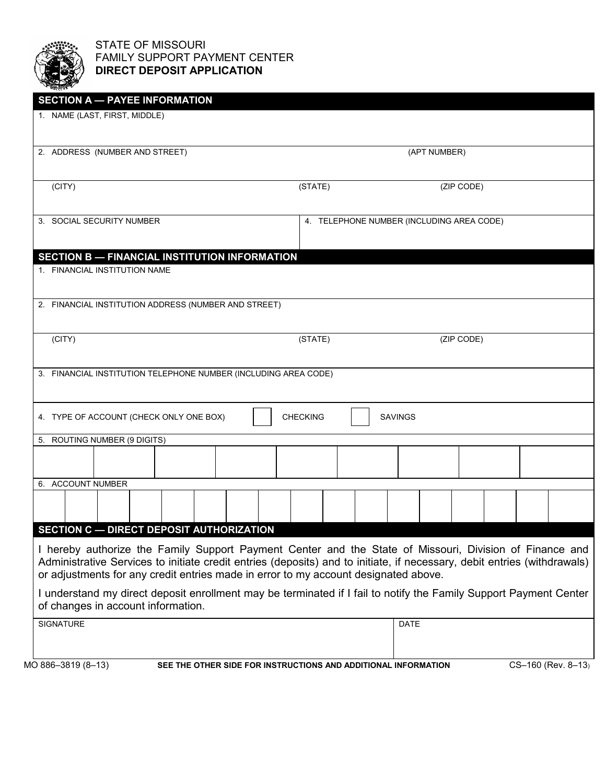

## STATE OF MISSOURI FAMILY SUPPORT PAYMENT CENTER **DIRECT DEPOSIT APPLICATION**

| 1. NAME (LAST, FIRST, MIDDLE)                                                                                                                                                                                                                                                                                                                                                                                                                                                         |                                                                |                                           |                    |  |
|---------------------------------------------------------------------------------------------------------------------------------------------------------------------------------------------------------------------------------------------------------------------------------------------------------------------------------------------------------------------------------------------------------------------------------------------------------------------------------------|----------------------------------------------------------------|-------------------------------------------|--------------------|--|
| 2. ADDRESS (NUMBER AND STREET)                                                                                                                                                                                                                                                                                                                                                                                                                                                        |                                                                | (APT NUMBER)                              |                    |  |
| (CITY)                                                                                                                                                                                                                                                                                                                                                                                                                                                                                | (STATE)                                                        | (ZIP CODE)                                |                    |  |
| 3. SOCIAL SECURITY NUMBER                                                                                                                                                                                                                                                                                                                                                                                                                                                             |                                                                | 4. TELEPHONE NUMBER (INCLUDING AREA CODE) |                    |  |
| <b>SECTION B - FINANCIAL INSTITUTION INFORMATION</b><br>1. FINANCIAL INSTITUTION NAME                                                                                                                                                                                                                                                                                                                                                                                                 |                                                                |                                           |                    |  |
| 2. FINANCIAL INSTITUTION ADDRESS (NUMBER AND STREET)                                                                                                                                                                                                                                                                                                                                                                                                                                  |                                                                |                                           |                    |  |
| (CITY)                                                                                                                                                                                                                                                                                                                                                                                                                                                                                | (STATE)                                                        | (ZIP CODE)                                |                    |  |
| 3. FINANCIAL INSTITUTION TELEPHONE NUMBER (INCLUDING AREA CODE)                                                                                                                                                                                                                                                                                                                                                                                                                       |                                                                |                                           |                    |  |
| 4. TYPE OF ACCOUNT (CHECK ONLY ONE BOX)                                                                                                                                                                                                                                                                                                                                                                                                                                               | <b>CHECKING</b>                                                | <b>SAVINGS</b>                            |                    |  |
| 5. ROUTING NUMBER (9 DIGITS)                                                                                                                                                                                                                                                                                                                                                                                                                                                          |                                                                |                                           |                    |  |
| 6. ACCOUNT NUMBER                                                                                                                                                                                                                                                                                                                                                                                                                                                                     |                                                                |                                           |                    |  |
| <b>SECTION C - DIRECT DEPOSIT AUTHORIZATION</b>                                                                                                                                                                                                                                                                                                                                                                                                                                       |                                                                |                                           |                    |  |
| I hereby authorize the Family Support Payment Center and the State of Missouri, Division of Finance and<br>Administrative Services to initiate credit entries (deposits) and to initiate, if necessary, debit entries (withdrawals)<br>or adjustments for any credit entries made in error to my account designated above.<br>I understand my direct deposit enrollment may be terminated if I fail to notify the Family Support Payment Center<br>of changes in account information. |                                                                |                                           |                    |  |
| <b>SIGNATURE</b>                                                                                                                                                                                                                                                                                                                                                                                                                                                                      |                                                                | <b>DATE</b>                               |                    |  |
| MO 886-3819 (8-13)                                                                                                                                                                                                                                                                                                                                                                                                                                                                    | SEE THE OTHER SIDE FOR INSTRUCTIONS AND ADDITIONAL INFORMATION |                                           | CS-160 (Rev. 8-13) |  |